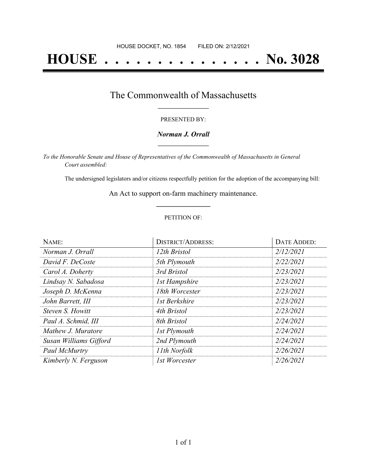# **HOUSE . . . . . . . . . . . . . . . No. 3028**

## The Commonwealth of Massachusetts **\_\_\_\_\_\_\_\_\_\_\_\_\_\_\_\_\_**

#### PRESENTED BY:

#### *Norman J. Orrall* **\_\_\_\_\_\_\_\_\_\_\_\_\_\_\_\_\_**

*To the Honorable Senate and House of Representatives of the Commonwealth of Massachusetts in General Court assembled:*

The undersigned legislators and/or citizens respectfully petition for the adoption of the accompanying bill:

An Act to support on-farm machinery maintenance. **\_\_\_\_\_\_\_\_\_\_\_\_\_\_\_**

#### PETITION OF:

| NAME:                  | <b>DISTRICT/ADDRESS:</b> | DATE ADDED: |
|------------------------|--------------------------|-------------|
| Norman J. Orrall       | 12th Bristol             | 2/12/2021   |
| David F. DeCoste       | 5th Plymouth             | 2/22/2021   |
| Carol A. Doherty       | 3rd Bristol              | 2/23/2021   |
| Lindsay N. Sabadosa    | <b>1st Hampshire</b>     | 2/23/2021   |
| Joseph D. McKenna      | 18th Worcester           | 2/23/2021   |
| John Barrett, III      | 1st Berkshire            | 2/23/2021   |
| Steven S. Howitt       | 4th Bristol              | 2/23/2021   |
| Paul A. Schmid, III    | 8th Bristol              | 2/24/2021   |
| Mathew J. Muratore     | 1st Plymouth             | 2/24/2021   |
| Susan Williams Gifford | 2nd Plymouth             | 2/24/2021   |
| Paul McMurtry          | 11th Norfolk             | 2/26/2021   |
| Kimberly N. Ferguson   | 1st Worcester            | 2/26/2021   |